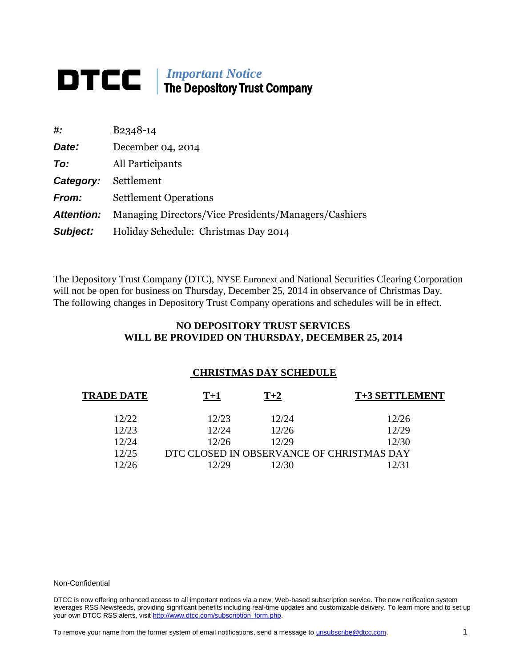## *Important Notice* **The Depository Trust Company**

| #:                | B <sub>2</sub> 348-14                                |
|-------------------|------------------------------------------------------|
| Date:             | December 04, 2014                                    |
| To:               | All Participants                                     |
| Category:         | Settlement                                           |
| <b>From:</b>      | <b>Settlement Operations</b>                         |
| <b>Attention:</b> | Managing Directors/Vice Presidents/Managers/Cashiers |
| Subject:          | Holiday Schedule: Christmas Day 2014                 |

The Depository Trust Company (DTC), NYSE Euronext and National Securities Clearing Corporation will not be open for business on Thursday, December 25, 2014 in observance of Christmas Day. The following changes in Depository Trust Company operations and schedules will be in effect.

## **NO DEPOSITORY TRUST SERVICES WILL BE PROVIDED ON THURSDAY, DECEMBER 25, 2014**

## **CHRISTMAS DAY SCHEDULE**

| TRADE DATE | $T+1$ | $T+2$ | T+3 SETTLEMENT                            |
|------------|-------|-------|-------------------------------------------|
| 12/22      | 12/23 | 12/24 | 12/26                                     |
| 12/23      | 12/24 | 12/26 | 12/29                                     |
| 12/24      | 12/26 | 12/29 | 12/30                                     |
| 12/25      |       |       | DTC CLOSED IN OBSERVANCE OF CHRISTMAS DAY |
| 12/26      | 12/29 | 12/30 | 12/31                                     |

## Non-Confidential

DTCC is now offering enhanced access to all important notices via a new, Web-based subscription service. The new notification system leverages RSS Newsfeeds, providing significant benefits including real-time updates and customizable delivery. To learn more and to set up your own DTCC RSS alerts, visit [http://www.dtcc.com/subscription\\_form.php.](http://www.dtcc.com/subscription_form.php)

To remove your name from the former system of email notifications, send a message to *unsubscribe@dtcc.com*. 1